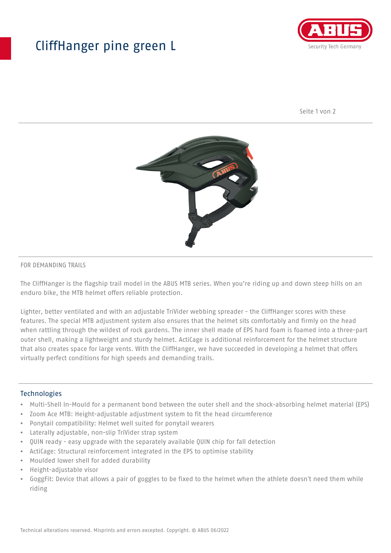## CliffHanger pine green L



Seite 1 von 2



## FOR DEMANDING TRAILS

The CliffHanger is the flagship trail model in the ABUS MTB series. When you're riding up and down steep hills on an enduro bike, the MTB helmet offers reliable protection.

Lighter, better ventilated and with an adjustable TriVider webbing spreader - the CliffHanger scores with these features. The special MTB adjustment system also ensures that the helmet sits comfortably and firmly on the head when rattling through the wildest of rock gardens. The inner shell made of EPS hard foam is foamed into a three-part outer shell, making a lightweight and sturdy helmet. ActiCage is additional reinforcement for the helmet structure that also creates space for large vents. With the CliffHanger, we have succeeded in developing a helmet that offers virtually perfect conditions for high speeds and demanding trails.

## Technologies

- Multi-Shell In-Mould for a permanent bond between the outer shell and the shock-absorbing helmet material (EPS)
- Zoom Ace MTB: Height-adjustable adjustment system to fit the head circumference
- Ponytail compatibility: Helmet well suited for ponytail wearers
- Laterally adjustable, non-slip TriVider strap system
- QUIN ready easy upgrade with the separately available QUIN chip for fall detection
- ActiCage: Structural reinforcement integrated in the EPS to optimise stability
- Moulded lower shell for added durability
- Height-adjustable visor
- GoggFit: Device that allows a pair of goggles to be fixed to the helmet when the athlete doesn't need them while riding